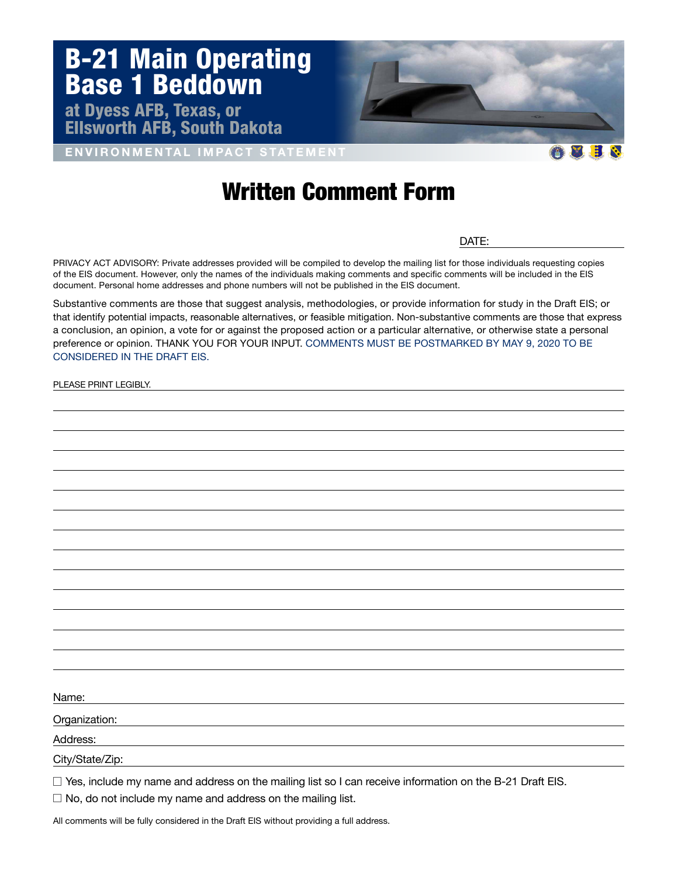

ENVIRONMENTAL IMPACT STATEMENT

## Written Comment Form

DATE:

XHN

PRIVACY ACT ADVISORY: Private addresses provided will be compiled to develop the mailing list for those individuals requesting copies of the EIS document. However, only the names of the individuals making comments and specific comments will be included in the EIS document. Personal home addresses and phone numbers will not be published in the EIS document.

Substantive comments are those that suggest analysis, methodologies, or provide information for study in the Draft EIS; or that identify potential impacts, reasonable alternatives, or feasible mitigation. Non-substantive comments are those that express a conclusion, an opinion, a vote for or against the proposed action or a particular alternative, or otherwise state a personal preference or opinion. THANK YOU FOR YOUR INPUT. COMMENTS MUST BE POSTMARKED BY MAY 9, 2020 TO BE CONSIDERED IN THE DRAFT EIS.

PLEASE PRINT LEGIBLY.

Name:

Organization:

Address:

City/State/Zip:

 $\Box$  Yes, include my name and address on the mailing list so I can receive information on the B-21 Draft EIS.

 $\Box$  No, do not include my name and address on the mailing list.

All comments will be fully considered in the Draft EIS without providing a full address.